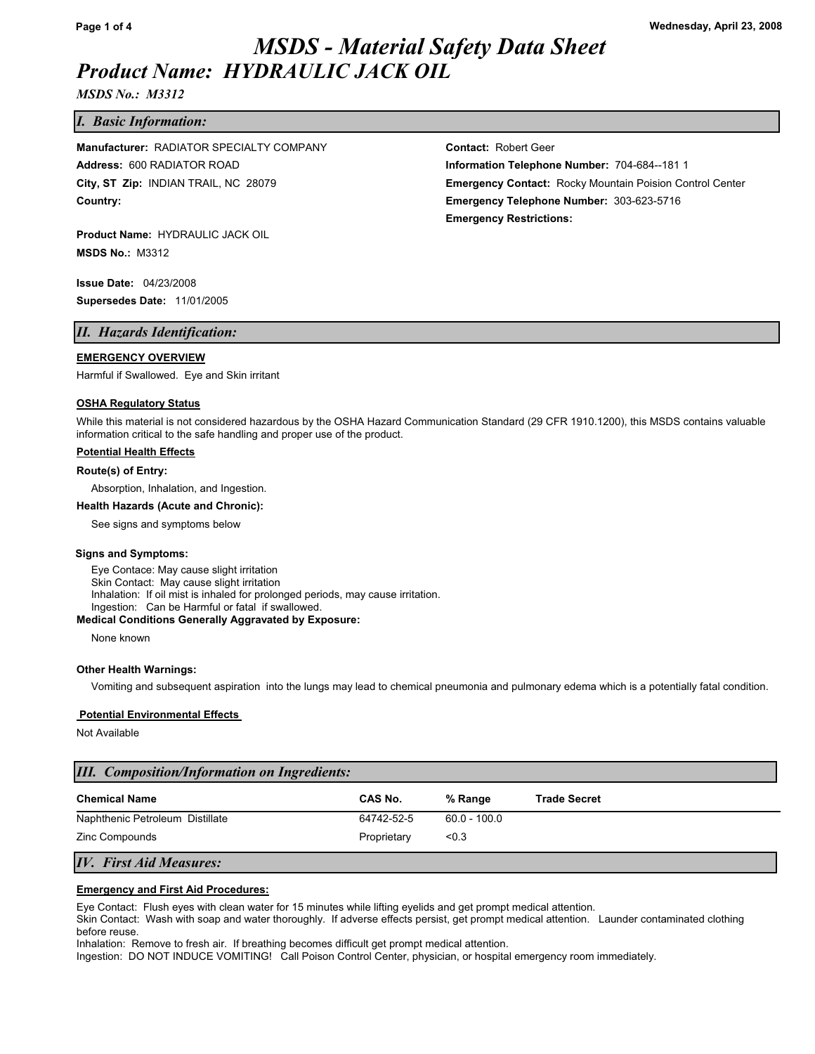*MSDS No.: M3312*

# *I. Basic Information:*

**Country: Emergency Telephone Number:** 303-623-5716 **Address:** 600 RADIATOR ROAD **Information Telephone Number:** 704-684--181 1 **Manufacturer:** RADIATOR SPECIALTY COMPANY **COMETABLE Contact:** Robert Geer

**Product Name:** HYDRAULIC JACK OIL **MSDS No.:** M3312

**Issue Date:** 04/23/2008 **Supersedes Date:** 11/01/2005

# *II. Hazards Identification:*

#### **EMERGENCY OVERVIEW**

Harmful if Swallowed. Eye and Skin irritant

#### **OSHA Regulatory Status**

While this material is not considered hazardous by the OSHA Hazard Communication Standard (29 CFR 1910.1200), this MSDS contains valuable information critical to the safe handling and proper use of the product.

#### **Potential Health Effects**

#### **Route(s) of Entry:**

Absorption, Inhalation, and Ingestion.

#### **Health Hazards (Acute and Chronic):**

See signs and symptoms below

#### **Signs and Symptoms:**

Eye Contace: May cause slight irritation Skin Contact: May cause slight irritation Inhalation: If oil mist is inhaled for prolonged periods, may cause irritation. Ingestion: Can be Harmful or fatal if swallowed.

#### **Medical Conditions Generally Aggravated by Exposure:**

None known

#### **Other Health Warnings:**

Vomiting and subsequent aspiration into the lungs may lead to chemical pneumonia and pulmonary edema which is a potentially fatal condition.

#### **Potential Environmental Effects**

Not Available

| <b>III.</b> Composition/Information on Ingredients: |             |                |                     |
|-----------------------------------------------------|-------------|----------------|---------------------|
| <b>Chemical Name</b>                                | CAS No.     | % Range        | <b>Trade Secret</b> |
| Naphthenic Petroleum Distillate                     | 64742-52-5  | $60.0 - 100.0$ |                     |
| Zinc Compounds                                      | Proprietary | < 0.3          |                     |

# *IV. First Aid Measures:*

#### **Emergency and First Aid Procedures:**

Eye Contact: Flush eyes with clean water for 15 minutes while lifting eyelids and get prompt medical attention.

Skin Contact: Wash with soap and water thoroughly. If adverse effects persist, get prompt medical attention. Launder contaminated clothing before reuse.

Inhalation: Remove to fresh air. If breathing becomes difficult get prompt medical attention.

Ingestion: DO NOT INDUCE VOMITING! Call Poison Control Center, physician, or hospital emergency room immediately.

**City, ST Zip:** INDIAN TRAIL, NC 28079 **Emergency Contact:** Rocky Mountain Poision Control Center **Emergency Restrictions:**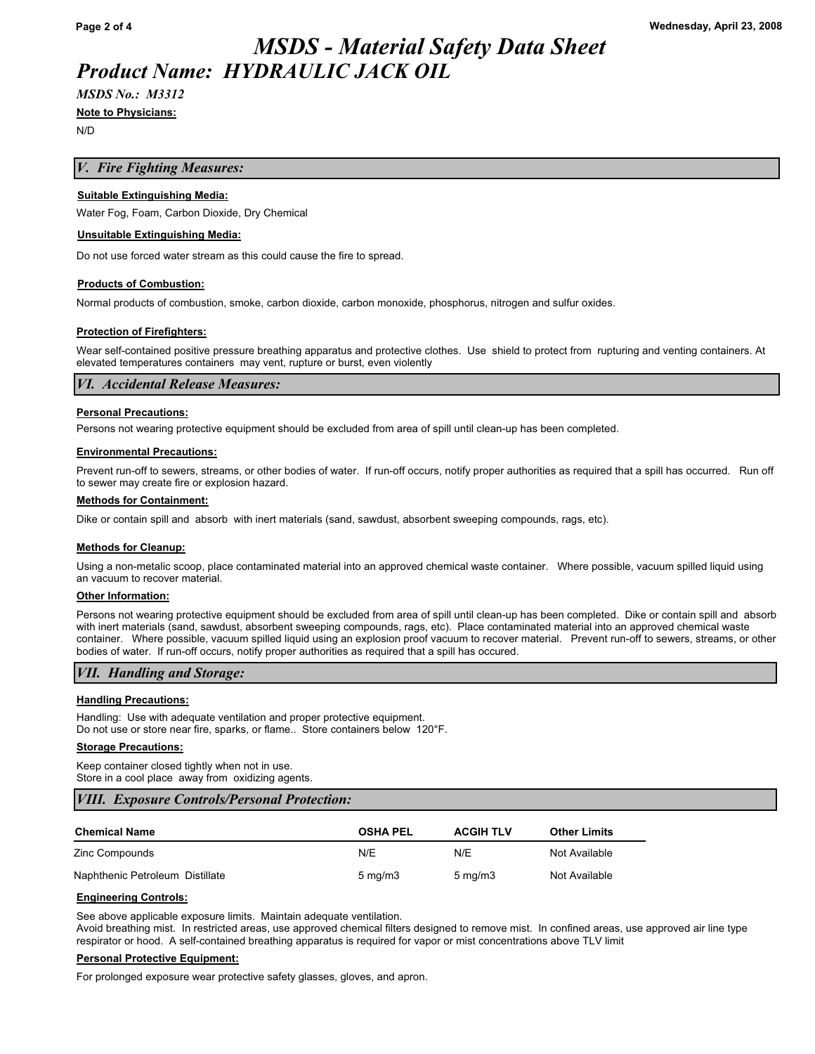# *MSDS No.: M3312*

#### **Note to Physicians:**

N/D

# *V. Fire Fighting Measures:*

### **Suitable Extinguishing Media:**

Water Fog, Foam, Carbon Dioxide, Dry Chemical

#### **Unsuitable Extinguishing Media:**

Do not use forced water stream as this could cause the fire to spread.

# **Products of Combustion:**

Normal products of combustion, smoke, carbon dioxide, carbon monoxide, phosphorus, nitrogen and sulfur oxides.

#### **Protection of Firefighters:**

Wear self-contained positive pressure breathing apparatus and protective clothes. Use shield to protect from rupturing and venting containers. At elevated temperatures containers may vent, rupture or burst, even violently

#### *VI. Accidental Release Measures:*

#### **Personal Precautions:**

Persons not wearing protective equipment should be excluded from area of spill until clean-up has been completed.

#### **Environmental Precautions:**

Prevent run-off to sewers, streams, or other bodies of water. If run-off occurs, notify proper authorities as required that a spill has occurred. Run off to sewer may create fire or explosion hazard.

#### **Methods for Containment:**

Dike or contain spill and absorb with inert materials (sand, sawdust, absorbent sweeping compounds, rags, etc).

#### **Methods for Cleanup:**

Using a non-metalic scoop, place contaminated material into an approved chemical waste container. Where possible, vacuum spilled liquid using an vacuum to recover material.

#### **Other Information:**

Persons not wearing protective equipment should be excluded from area of spill until clean-up has been completed. Dike or contain spill and absorb with inert materials (sand, sawdust, absorbent sweeping compounds, rags, etc). Place contaminated material into an approved chemical waste container. Where possible, vacuum spilled liquid using an explosion proof vacuum to recover material. Prevent run-off to sewers, streams, or other bodies of water. If run-off occurs, notify proper authorities as required that a spill has occured.

# *VII. Handling and Storage:*

# **Handling Precautions:**

Handling: Use with adequate ventilation and proper protective equipment. Do not use or store near fire, sparks, or flame.. Store containers below 120°F.

#### **Storage Precautions:**

Keep container closed tightly when not in use. Store in a cool place away from oxidizing agents.

# *VIII. Exposure Controls/Personal Protection:*

| <b>Chemical Name</b>            | <b>OSHA PEL</b>  | <b>ACGIH TLV</b> | <b>Other Limits</b> |
|---------------------------------|------------------|------------------|---------------------|
| Zinc Compounds                  | N/E              | N/E              | Not Available       |
| Naphthenic Petroleum Distillate | $5 \text{ mg/m}$ | $5 \text{ mg/m}$ | Not Available       |

#### **Engineering Controls:**

See above applicable exposure limits. Maintain adequate ventilation.

Avoid breathing mist. In restricted areas, use approved chemical filters designed to remove mist. In confined areas, use approved air line type respirator or hood. A self-contained breathing apparatus is required for vapor or mist concentrations above TLV limit

#### **Personal Protective Equipment:**

For prolonged exposure wear protective safety glasses, gloves, and apron.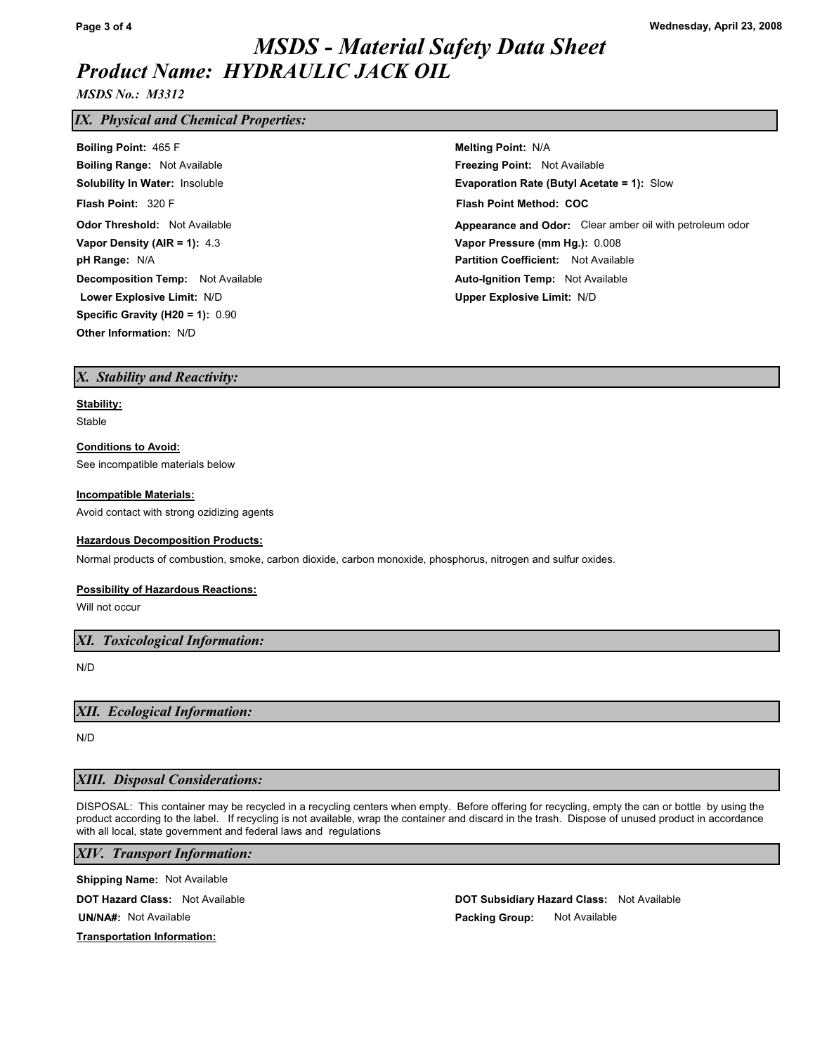*MSDS No.: M3312*

# *IX. Physical and Chemical Properties:*

| <b>Boiling Point: 465 F</b>              | <b>Melting Point: N/A</b>                                |
|------------------------------------------|----------------------------------------------------------|
| <b>Boiling Range: Not Available</b>      | <b>Freezing Point: Not Available</b>                     |
| <b>Solubility In Water: Insoluble</b>    | <b>Evaporation Rate (Butyl Acetate = 1): Slow</b>        |
| Flash Point: 320 F                       | <b>Flash Point Method: COC</b>                           |
| <b>Odor Threshold: Not Available</b>     | Appearance and Odor: Clear amber oil with petroleum odor |
| Vapor Density (AIR = 1): $4.3$           | Vapor Pressure (mm Hg.): 0.008                           |
| pH Range: N/A                            | <b>Partition Coefficient:</b> Not Available              |
| <b>Decomposition Temp:</b> Not Available | <b>Auto-Ignition Temp:</b> Not Available                 |
| Lower Explosive Limit: N/D               | <b>Upper Explosive Limit: N/D</b>                        |
| Specific Gravity (H20 = 1): $0.90$       |                                                          |
| <b>Other Information: N/D</b>            |                                                          |

## *X. Stability and Reactivity:*

#### **Stability:**

Stable

# **Conditions to Avoid:**

See incompatible materials below

#### **Incompatible Materials:**

Avoid contact with strong ozidizing agents

#### **Hazardous Decomposition Products:**

Normal products of combustion, smoke, carbon dioxide, carbon monoxide, phosphorus, nitrogen and sulfur oxides.

## **Possibility of Hazardous Reactions:**

Will not occur

*XI. Toxicological Information:*

N/D

## *XII. Ecological Information:*

N/D

# *XIII. Disposal Considerations:*

DISPOSAL: This container may be recycled in a recycling centers when empty. Before offering for recycling, empty the can or bottle by using the product according to the label. If recycling is not available, wrap the container and discard in the trash. Dispose of unused product in accordance with all local, state government and federal laws and regulations

# *XIV. Transport Information:*

**Shipping Name:**  Not Available

**DOT Hazard Class:** Not Available **Noting the Subset of Available Class: DOT Subsidiary Hazard Class:** 

**UN/NA#: Packing Group:**  Not Available

DOT Subsidiary Hazard Class: Not Available Not Available

# **Transportation Information:**